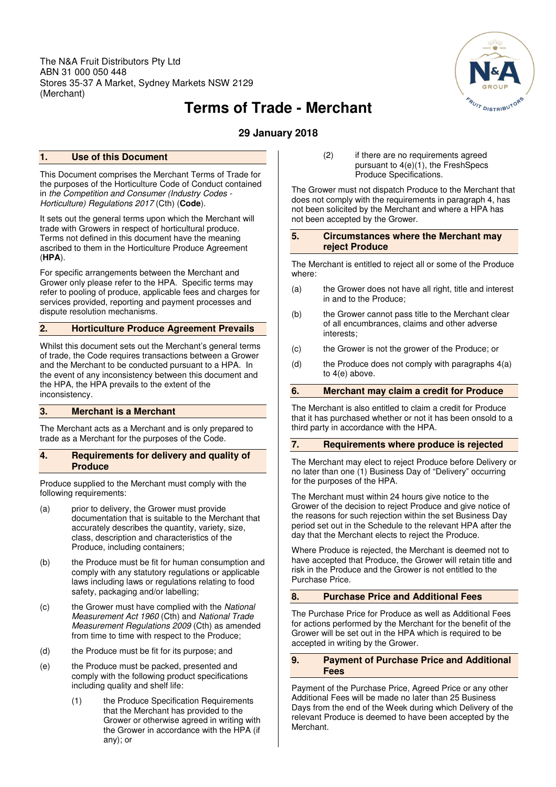The N&A Fruit Distributors Pty Ltd ABN 31 000 050 448 Stores 35-37 A Market, Sydney Markets NSW 2129 (Merchant)



# **Terms of Trade - Merchant**

**29 January 2018** 

# **1. Use of this Document**

This Document comprises the Merchant Terms of Trade for the purposes of the Horticulture Code of Conduct contained in the Competition and Consumer (Industry Codes - Horticulture) Regulations 2017 (Cth) (**Code**).

It sets out the general terms upon which the Merchant will trade with Growers in respect of horticultural produce. Terms not defined in this document have the meaning ascribed to them in the Horticulture Produce Agreement (**HPA**).

For specific arrangements between the Merchant and Grower only please refer to the HPA. Specific terms may refer to pooling of produce, applicable fees and charges for services provided, reporting and payment processes and dispute resolution mechanisms.

# **2. Horticulture Produce Agreement Prevails**

Whilst this document sets out the Merchant's general terms of trade, the Code requires transactions between a Grower and the Merchant to be conducted pursuant to a HPA. In the event of any inconsistency between this document and the HPA, the HPA prevails to the extent of the inconsistency.

## **3. Merchant is a Merchant**

The Merchant acts as a Merchant and is only prepared to trade as a Merchant for the purposes of the Code.

## **4. Requirements for delivery and quality of Produce**

Produce supplied to the Merchant must comply with the following requirements:

- (a) prior to delivery, the Grower must provide documentation that is suitable to the Merchant that accurately describes the quantity, variety, size, class, description and characteristics of the Produce, including containers;
- (b) the Produce must be fit for human consumption and comply with any statutory regulations or applicable laws including laws or regulations relating to food safety, packaging and/or labelling;
- (c) the Grower must have complied with the National Measurement Act 1960 (Cth) and National Trade Measurement Regulations 2009 (Cth) as amended from time to time with respect to the Produce;
- (d) the Produce must be fit for its purpose; and
- (e) the Produce must be packed, presented and comply with the following product specifications including quality and shelf life:
	- (1) the Produce Specification Requirements that the Merchant has provided to the Grower or otherwise agreed in writing with the Grower in accordance with the HPA (if any); or

(2) if there are no requirements agreed pursuant to 4(e)(1), the FreshSpecs Produce Specifications.

The Grower must not dispatch Produce to the Merchant that does not comply with the requirements in paragraph 4, has not been solicited by the Merchant and where a HPA has not been accepted by the Grower.

#### **5. Circumstances where the Merchant may reject Produce**

The Merchant is entitled to reject all or some of the Produce where:

- (a) the Grower does not have all right, title and interest in and to the Produce;
- (b) the Grower cannot pass title to the Merchant clear of all encumbrances, claims and other adverse interests;
- (c) the Grower is not the grower of the Produce; or
- (d) the Produce does not comply with paragraphs  $4(a)$ to 4(e) above.

# **6. Merchant may claim a credit for Produce**

The Merchant is also entitled to claim a credit for Produce that it has purchased whether or not it has been onsold to a third party in accordance with the HPA.

## **7. Requirements where produce is rejected**

The Merchant may elect to reject Produce before Delivery or no later than one (1) Business Day of "Delivery" occurring for the purposes of the HPA.

The Merchant must within 24 hours give notice to the Grower of the decision to reject Produce and give notice of the reasons for such rejection within the set Business Day period set out in the Schedule to the relevant HPA after the day that the Merchant elects to reject the Produce.

Where Produce is rejected, the Merchant is deemed not to have accepted that Produce, the Grower will retain title and risk in the Produce and the Grower is not entitled to the Purchase Price.

# **8. Purchase Price and Additional Fees**

The Purchase Price for Produce as well as Additional Fees for actions performed by the Merchant for the benefit of the Grower will be set out in the HPA which is required to be accepted in writing by the Grower.

## **9. Payment of Purchase Price and Additional Fees**

Payment of the Purchase Price, Agreed Price or any other Additional Fees will be made no later than 25 Business Days from the end of the Week during which Delivery of the relevant Produce is deemed to have been accepted by the **Merchant**